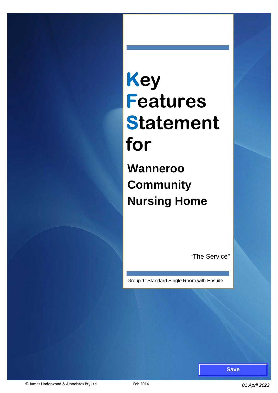# **Key Features Statement for**

**Wanneroo Community Nursing Home**

"The Service"

Group 1: Standard Single Room with Ensuite

**Save**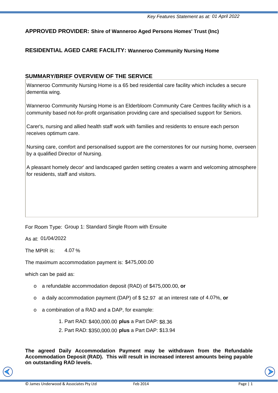## **APPROVED PROVIDER: Shire of Wanneroo Aged Persons Homes' Trust (Inc)**

## **RESIDENTIAL AGED CARE FACILITY: Wanneroo Community Nursing Home**

## **SUMMARY/BRIEF OVERVIEW OF THE SERVICE**

Wanneroo Community Nursing Home is a 65 bed residential care facility which includes a secure dementia wing.

Wanneroo Community Nursing Home is an Elderbloom Community Care Centres facility which is a community based not-for-profit organisation providing care and specialised support for Seniors.

Carer's, nursing and allied health staff work with families and residents to ensure each person receives optimum care.

Nursing care, comfort and personalised support are the cornerstones for our nursing home, overseen by a qualified Director of Nursing.

A pleasant homely decor' and landscaped garden setting creates a warm and welcoming atmosphere for residents, staff and visitors.

## For Room Type: Group 1: Standard Single Room with Ensuite

As at: 01/04/2022<br>The MPIR is: 4.07 The MPIR is:  $4.07\%$ 

The maximum accommodation payment is: \$475,000.00

which can be paid as:

- *E* maximum accommodation payment is: \$475,000.00<br>ch can be paid as:<br>○ a refundable accommodation deposit (RAD) of \$475,000.00, **or**
- o a daily accommodation payment (DAP) of \$52.97 at an interest rate of 4.07%, or
- o a combination of a RAD and a DAP, for example:
	- 1. Part RAD: \$400,000.00 **plus** a Part DAP: \$8.36
	- 2. Part RAD: \$350,000.00 **plus** a Part DAP: \$13.94

**The agreed Daily Accommodation Payment may be withdrawn from the Refundable Accommodation Deposit (RAD). This will result in increased interest amounts being payable on outstanding RAD levels.**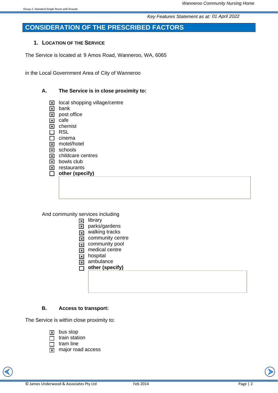# **CONSIDERATION OF THE PRESCRIBED FACTORS**

#### **1. LOCATION OF THE SERVICE**

The Service is located at 9 Amos Road, Wanneroo, WA, 6065

in the Local Government Area of City of Wanneroo

#### **A. The Service is in close proximity to:**

- $\boxtimes$  local shopping village/centre
- $\boxed{\mathbf{x}}$  bank
- $\boxed{\times}$  post office
- $\boxed{\mathbf{x}}$  cafe
- $\boxed{\mathbf{x}}$  chemist
- $\Box$  RSL
- $\Box$  cinema **x** motel/hotel
- $\boxed{\mathbf{x}}$  schools
- $\boxed{\mathbf{x}}$  childcare centres
- $\boxed{\mathbf{x}}$  bowls club
- $\boxed{\mathbf{x}}$  restaurants
- □ other (specify)

And community services including

- $\boxed{\mathbf{x}}$  library
- $\overline{\mathbf{x}}$  parks/gardens
- $\overline{\mathbf{x}}$  walking tracks
- $\boxed{\mathbf{x}}$  community centre
- $\overline{\mathbf{x}}$  community pool
- $\overline{\mathbf{x}}$  medical centre
- $\overline{\mathbf{x}}$  hospital
- $\overline{\mathbf{x}}$  ambulance

**D** other (specify)

#### **B. Access to transport:**

The Service is within close proximity to:

- $\boxed{\mathbf{x}}$  bus stop
- $\Box$  train station
- $\Box$  tram line
- $\boxed{\mathbf{x}}$  major road access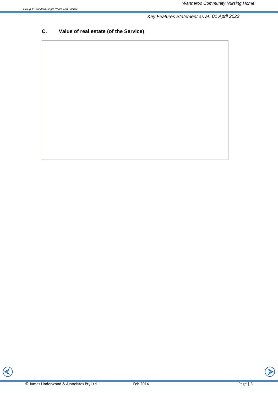# **C. Value of real estate (of the Service)**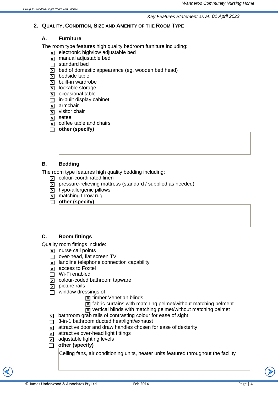## **2. QUALITY, CONDITION, SIZE AND AMENITY OF THE ROOM TYPE**

## **A. Furniture**

The room type features high quality bedroom furniture including:

- $\overline{\mathbf{x}}$  electronic high/low adjustable bed
- $\overline{\mathbf{x}}$  manual adjustable bed
- $\Box$  standard bed
- $\overline{X}$  bed of domestic appearance (eg. wooden bed head)
- $\boxtimes$  bedside table
- $\boxed{\mathbf{x}}$  built-in wardrobe
- $\boxed{\mathbf{x}}$  lockable storage
- $\boxed{\mathbf{x}}$  occasional table
- $\Box$  in-built display cabinet
- $x$  armchair
- $\sqrt{x}$  visitor chair
- $\boxed{\mathbf{x}}$  setee
- $\overline{\mathbf{x}}$  coffee table and chairs
- **D** other (specify)

# **B. Bedding**

The room type features high quality bedding including:

- $\boxed{\mathbf{x}}$  colour-coordinated linen
- $\overline{x}$  pressure-relieving mattress (standard / supplied as needed)
- $\boxed{\mathbf{x}}$  hypo-allergenic pillows
- $\boxed{\mathbf{x}}$  matching throw rug
- $\overline{\Box}$  other (specify)

# **C. Room fittings**

Quality room fittings include:

- $\boxed{\mathbf{x}}$  nurse call points
- $\Box$  over-head, flat screen TV
- $\boxed{\mathbf{x}}$  landline telephone connection capability
- $\overline{\mathbf{x}}$  access to Foxtel
- $\Box$  Wi-Fi enabled
- $\overline{\mathbf{x}}$  colour-coded bathroom tapware
- $\boxed{\mathbf{x}}$  picture rails
- $\Box$  window dressings of
	- $\overline{\mathbf{x}}$  timber Venetian blinds
	- $\overline{x}$  fabric curtains with matching pelmet/without matching pelment
	- $\overline{x}$  vertical blinds with matching pelmet/without matching pelmet

 $\overline{x}$  bathroom grab rails of contrasting colour for ease of sight

- $\Box$  3-in-1 bathroom ducted heat/light/exhaust
- $\boxed{\mathbf{x}}$  attractive door and draw handles chosen for ease of dexterity
- $\overline{x}$  attractive over-head light fittings
- $\boxed{\mathbf{x}}$  adjustable lighting levels
- □ other (specify)

Ceiling fans, air conditioning units, heater units featured throughout the facility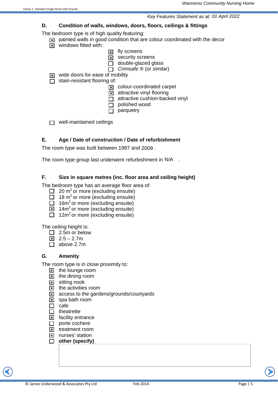#### **D. Condition of walls, windows, doors, floors, ceilings & fittings**

The bedroom type is of high quality featuring:

- $\boxed{\mathbf{x}}$  painted walls in good condition that are colour coordinated with the decor
- $\boxed{\mathbf{x}}$  windows fitted with:
	- $\boxed{\mathbf{x}}$  fly screens
	- $\boxed{\mathbf{x}}$  security screens
	- $\Box$  double-glazed glass
	- □ *Crimsafe* ® (or similar)

 $\boxed{\mathbf{x}}$  wide doors for ease of mobility

 $\Box$  stain-resistant flooring of:

- $\boxed{\mathbf{x}}$  colour-coordinated carpet
- $\boxed{\mathbf{x}}$  attractive vinyl flooring
- $\Box$  attractive cushion-backed vinyl
- $\Box$  polished wood
- $\Box$  parquetry

 $\Box$  well-maintained ceilings

#### **E. Age / Date of construction / Date of refurbishment**

The room type was built between 1997 and 2009.

The room type group last underwent refurbishment in  $N/A$ .

## **F. Size in square metres (inc. floor area and ceiling height)**

The bedroom type has an average floor area of:

- $\Box$  20 m<sup>2</sup> or more (excluding ensuite)
- $\Box$  18 m<sup>2</sup> or more (excluding ensuite)
- $\Box$  16m<sup>2</sup> or more (excluding ensuite)
- $\boxed{\mathbf{x}}$  14m<sup>2</sup> or more (excluding ensuite)
- $\Box$  12m<sup>2</sup> or more (excluding ensuite)

The ceiling height is:

- $\Box$  2.5m or below
- $\boxed{2.5 2.7m}$
- $\Box$  above 2.7m

## **G. Amenity**

The room type is in close proximity to:

- $\boxed{\times}$  the lounge room
- $\boxed{\mathbf{x}}$  the dining room
- $\boxed{\times}$  sitting nook
- $\boxtimes$  the activities room
- $\boxed{\mathbf{x}}$  access to the gardens/grounds/courtyards
- $\boxed{\mathbf{x}}$  spa bath room
- $\Box$  cafe
- $\Box$  theatrette
- $\Sigma$  facility entrance
- $\Box$  porte cochere
- $\overline{\mathbf{x}}$  treatment room
- **x** nurses' station
- □ other (specify)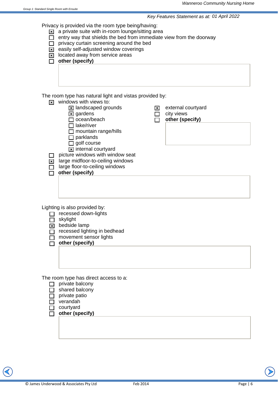Privacy is provided via the room type being/having:

 $\boxed{\mathbf{x}}$  a private suite with in-room lounge/sitting area

- $\Box$  entry way that shields the bed from immediate view from the doorway
- $\Box$  privacy curtain screening around the bed
- $\overline{\mathbf{x}}$  easily self-adjusted window coverings
- $\boxed{\mathbf{x}}$  located away from service areas
- □ other (specify)

The room type has natural light and vistas provided by:

- $\overline{\mathbf{x}}$  windows with views to:
	- $\boxed{\mathbf{x}}$  landscaped grounds
	- $\boxtimes$  gardens
	- $\Box$  ocean/beach
	- $\Box$  lake/river
	- $\Box$  mountain range/hills
	- $\Box$  parklands
	- $\Box$  golf course
	- $\boxed{\mathbf{x}}$  internal courtyard
- $\Box$  picture windows with window seat

 $\overline{\mathbf{x}}$  large midfloor-to-ceiling windows

- $\Box$  large floor-to-ceiling windows
- $\overline{\Box}$  other (specify)
- $\boxed{\mathbf{x}}$  external courtyard
- $\Box$  city views
	- o **other (specify)**

Lighting is also provided by:

 $\Box$  recessed down-lights

 $\Box$  skylight

 $\boxed{\mathbf{x}}$  bedside lamp

- $\overline{\Box}$  recessed lighting in bedhead
- $\overline{\Box}$  movement sensor lights
- $\overline{\Box}$  other (specify)

The room type has direct access to a:

- $\Box$  private balcony
- $\Box$  shared balcony
- $\Box$  private patio
- $\Box$  verandah
- $\Box$  courtyard
- o **other (specify)**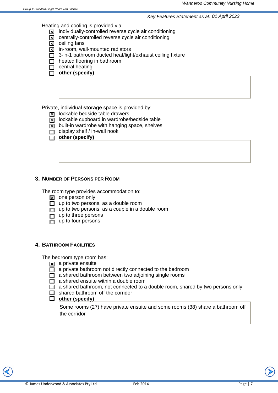Heating and cooling is provided via:

- $\boxed{\mathbf{x}}$  individually-controlled reverse cycle air conditioning
- $\boxed{\mathbf{x}}$  centrally-controlled reverse cycle air conditioning
- $\boxtimes$  ceiling fans
- $\boxed{\mathbf{x}}$  in-room, wall-mounted radiators
- $\Box$  3-in-1 bathroom ducted heat/light/exhaust ceiling fixture
- $\Box$  heated flooring in bathroom
- $\Box$  central heating
- **D** other (specify)

Private, individual **storage** space is provided by:

- $\overline{\mathbf{x}}$  lockable bedside table drawers
- $\overline{\mathbf{x}}$  lockable cupboard in wardrobe/bedside table
- $\overline{\mathbf{x}}$  built-in wardrobe with hanging space, shelves
- $\Box$  display shelf / in-wall nook
- $\overline{\Box}$  other (specify)

#### **3. NUMBER OF PERSONS PER ROOM**

The room type provides accommodation to:

- $\boxed{\mathbf{x}}$  one person only
- $\Box$  up to two persons, as a double room
- $\Box$  up to two persons, as a couple in a double room
- $\Box$  up to three persons
- $\overline{\Box}$  up to four persons

#### **4. BATHROOM FACILITIES**

The bedroom type room has:

- $\overline{\mathbf{x}}$  a private ensuite
- $\overline{\Box}$  a private bathroom not directly connected to the bedroom
- $\Box$  a shared bathroom between two adjoining single rooms
- $\Box$  a shared ensuite within a double room
- $\Box$  a shared bathroom, not connected to a double room, shared by two persons only
- $\Box$  shared bathroom off the corridor<br> $\Box$  other (specify)

## other (specify)

Some rooms (27) have private ensuite and some rooms (38) share a bathroom off the corridor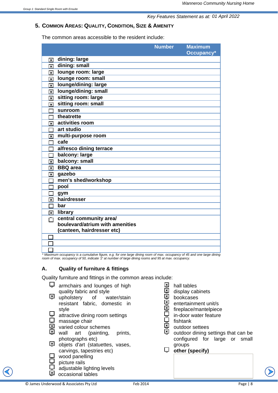## **5. COMMON AREAS: QUALITY, CONDITION, SIZE & AMENITY**

The common areas accessible to the resident include:

|                         |                                 | <b>Number</b> | <b>Maximum</b><br>Occupancy* |
|-------------------------|---------------------------------|---------------|------------------------------|
| $\overline{\mathbf{x}}$ | dining: large                   |               |                              |
| $\overline{\mathbf{x}}$ | dining: small                   |               |                              |
| ⊠                       | lounge room: large              |               |                              |
| $\vert x \vert$         | lounge room: small              |               |                              |
| $\vert x \vert$         | lounge/dining: large            |               |                              |
| $\overline{\mathbf{x}}$ | lounge/dining: small            |               |                              |
| ⊠                       | sitting room: large             |               |                              |
| ম                       | sitting room: small             |               |                              |
|                         | sunroom                         |               |                              |
|                         | theatrette                      |               |                              |
| $\overline{\mathbf{x}}$ | activities room                 |               |                              |
|                         | art studio                      |               |                              |
| $\vert x \vert$         | multi-purpose room              |               |                              |
|                         | cafe                            |               |                              |
|                         | alfresco dining terrace         |               |                              |
|                         | balcony: large                  |               |                              |
| $\vert x \vert$         | balcony: small                  |               |                              |
| $\vert x \vert$         | <b>BBQ</b> area                 |               |                              |
| $\vert x \vert$         | gazebo                          |               |                              |
|                         | men's shed/workshop             |               |                              |
|                         | pool                            |               |                              |
|                         | gym                             |               |                              |
| $\vert x \vert$         | hairdresser                     |               |                              |
|                         | bar                             |               |                              |
| ⊠                       | library                         |               |                              |
|                         | central community area/         |               |                              |
|                         | boulevard/atrium with amenities |               |                              |
|                         | (canteen, hairdresser etc)      |               |                              |
|                         |                                 |               |                              |
|                         |                                 |               |                              |
|                         |                                 |               |                              |

*\* Maximum occupancy is a cumulative figure, e.g. for one large dining room of max. occupancy of 45 and one large dining room of max. occupancy of 50, indicate '2' at number of large dining rooms and 95 at max. occupancy.*

## **A. Quality of furniture & fittings**

Quality furniture and fittings in the common areas include:

- $\Box$  armchairs and lounges of high quality fabric and style  $\overline{3}$  upholstery of water/stain resistant fabric, domestic in style
- $\Box$  attractive dining room settings
- 
- $\Box$  massage chair<br> $\overline{X}$  varied colour so  $\frac{|\mathbf{x}|}{|\mathbf{x}|}$  varied colour schemes
- wall art (painting, prints, photographs etc)
- $\overline{2}$  objets d'art (statuettes, vases, carvings, tapestries etc)
- wood panelling
- picture rails
- $\bigcup_{\lvert \mathbf{X} \rvert}$  adjustable lighting levels
- occasional tables
- © James Underwood & Associates Pty Ltd Feb 2014 Page | 8
	-
- **④** hall tables
- $\overline{Q}$  display cabinets
- $\overline{Q}$  bookcases
- i일 entertainment unit/s<br>일 fireplace/mantelpiece
- fireplace/mantelpiece
- in-door water feature
- **닝** fishtank<br>ା outdoor
- $\frac{[x]}{[x]}$  outdoor settees
- outdoor dining settings that can be configured for large or small groups
- $\Box$  other (specify)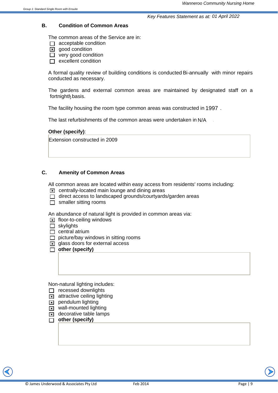#### **B. Condition of Common Areas**

The common areas of the Service are in:

- $\Box$  acceptable condition
- $\boxed{\mathbf{x}}$  acod condition
- $\Box$  very good condition
- $\Box$  excellent condition

A formal quality review of building conditions is conducted Bi-annually with minor repairs conducted as necessary.

The gardens and external common areas are maintained by designated staff on a fortnightly basis. fortnightly

The facility housing the room type common areas was constructed in 1997.

The last refurbishments of the common areas were undertaken in N/A

#### **Other (specify)**:

Extension constructed in 2009

## **C. Amenity of Common Areas**

All common areas are located within easy access from residents' rooms including:

- $\boxed{\mathbf{x}}$  centrally-located main lounge and dining areas
- $\Box$  direct access to landscaped grounds/courtyards/garden areas
- $\Box$  smaller sitting rooms

An abundance of natural light is provided in common areas via:

- $\boxed{\mathbf{x}}$  floor-to-ceiling windows
- $\Box$  skylights
- $\Box$  central atrium
- $\Box$  picture/bay windows in sitting rooms
- $\boxed{\mathbf{x}}$  glass doors for external access
- **D** other (specify)

Non-natural lighting includes:

- $\Box$  recessed downlights
- $\overline{\mathbf{x}}$  attractive ceiling lighting
- $\boxed{\mathbf{x}}$  pendulum lighting
- $\overline{\mathbf{x}}$  wall-mounted lighting
- $\overline{\mathbf{x}}$  decorative table lamps
- **0** other (specify)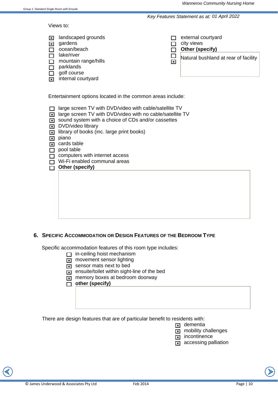Views to:

| $\vert x \vert$<br>⊠<br>$\Box$<br>⊠                        | landscaped grounds<br>gardens<br>ocean/beach<br>lake/river<br>mountain range/hills<br>parklands<br>golf course<br>internal courtyard | ا×ا | external courtyard<br>city views<br>Other (specify)<br>Natural bushland at rear of facility |  |
|------------------------------------------------------------|--------------------------------------------------------------------------------------------------------------------------------------|-----|---------------------------------------------------------------------------------------------|--|
| Entertainment options located in the common areas include: |                                                                                                                                      |     |                                                                                             |  |

- $\Box$  large screen TV with DVD/video with cable/satellite TV
- $\boxed{\mathbf{x}}$  large screen TV with DVD/video with no cable/satellite TV
- $\boxed{\mathbf{x}}$  sound system with a choice of CDs and/or cassettes
- **x** DVD/video library
- $\overline{\mathbf{x}}$  library of books (inc. large print books)

 $\boxed{\mathbf{x}}$  piano

- $\boxed{\mathbf{x}}$  cards table
- $\Box$  pool table
- $\Box$  computers with internet access
- $\Box$  Wi-Fi enabled communal areas
- □ Other (specify)

## **6. SPECIFIC ACCOMMODATION OR DESIGN FEATURES OF THE BEDROOM TYPE**

Specific accommodation features of this room type includes:

- $\Box$  in-ceiling hoist mechanism
- $\boxed{\mathbf{x}}$  movement sensor lighting
- $\overline{\mathbf{x}}$  sensor mats next to bed
- $\overline{x}$  ensuite/toilet within sight-line of the bed
- $\boxed{\mathbf{x}}$  memory boxes at bedroom doorway
- **O** other (specify)

There are design features that are of particular benefit to residents with:

- $\mathbf{z}$  dementia
- $\overline{\mathbf{x}}$  mobility challenges
- $\overline{\mathbf{x}}$  incontinence
- $\overline{a}$  accessing palliation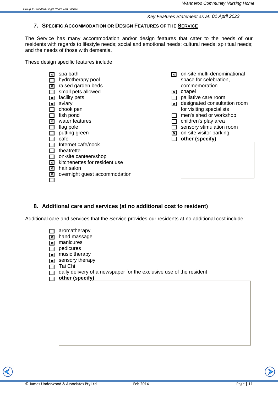# **7. SPECIFIC ACCOMMODATION OR DESIGN FEATURES OF THE SERVICE**

The Service has many accommodation and/or design features that cater to the needs of our residents with regards to lifestyle needs; social and emotional needs; cultural needs; spiritual needs; and the needs of those with dementia.

These design specific features include:

| l x l<br>$\vert x \vert$<br>l×l<br>l ×<br>$\vert x \vert$<br>l×l<br>l×l<br>$\vert x \vert$ | spa bath<br>hydrotherapy pool<br>raised garden beds<br>small pets allowed<br>facility pets<br>aviary<br>chook pen<br>fish pond<br>water features<br>flag pole<br>putting green<br>cafe<br>Internet cafe/nook<br>theatrette<br>on-site canteen/shop<br>kitchenettes for resident use<br>hair salon<br>overnight guest accommodation | l×l<br>∣×l<br>$\vert x \vert$<br>∣×l | on-site multi-denominational<br>space for celebration,<br>commemoration<br>chapel<br>palliative care room<br>designated consultation room<br>for visiting specialists<br>men's shed or workshop<br>children's play area<br>sensory stimulation room<br>on-site visitor parking<br>other (specify) |
|--------------------------------------------------------------------------------------------|------------------------------------------------------------------------------------------------------------------------------------------------------------------------------------------------------------------------------------------------------------------------------------------------------------------------------------|--------------------------------------|---------------------------------------------------------------------------------------------------------------------------------------------------------------------------------------------------------------------------------------------------------------------------------------------------|
|--------------------------------------------------------------------------------------------|------------------------------------------------------------------------------------------------------------------------------------------------------------------------------------------------------------------------------------------------------------------------------------------------------------------------------------|--------------------------------------|---------------------------------------------------------------------------------------------------------------------------------------------------------------------------------------------------------------------------------------------------------------------------------------------------|

# **8. Additional care and services (at no additional cost to resident)**

Additional care and services that the Service provides our residents at no additional cost include:

| $\overline{\mathbf{x}}$<br>$\overline{\mathbf{x}}$ | aromatherapy<br>hand massage<br>manicures                           |
|----------------------------------------------------|---------------------------------------------------------------------|
|                                                    | pedicures                                                           |
| $\frac{1}{2}$                                      | music therapy                                                       |
| $\overline{\mathbf{x}}$                            | sensory therapy                                                     |
|                                                    | Tai Chi                                                             |
|                                                    | daily delivery of a newspaper for the exclusive use of the resident |
|                                                    | other (specify)                                                     |
|                                                    |                                                                     |
|                                                    |                                                                     |
|                                                    |                                                                     |
|                                                    |                                                                     |

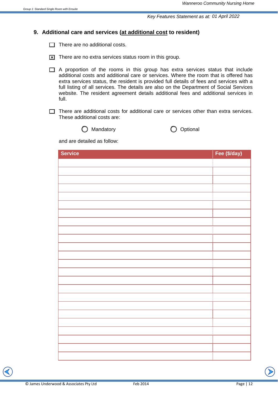## **9. Additional care and services (at additional cost to resident)**

 $\Box$  There are no additional costs.

- $\boxed{\times}$  There are no extra services status room in this group.
- $\Box$  A proportion of the rooms in this group has extra services status that include additional costs and additional care or services. Where the room that is offered has extra services status, the resident is provided full details of fees and services with a full listing of all services. The details are also on the Department of Social Services website. The resident agreement details additional fees and additional services in full.
- $\Box$  There are additional costs for additional care or services other than extra services. These additional costs are:





and are detailed as follow:

| <b>Service</b> | Fee (\$/day) |
|----------------|--------------|
|                |              |
|                |              |
|                |              |
|                |              |
|                |              |
|                |              |
|                |              |
|                |              |
|                |              |
|                |              |
|                |              |
|                |              |
|                |              |
|                |              |
|                |              |
|                |              |
|                |              |
|                |              |
|                |              |
|                |              |
|                |              |
|                |              |
|                |              |
|                |              |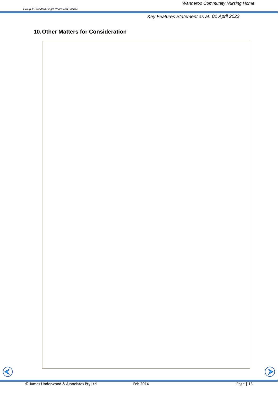# **10. Other Matters for Consideration**

 $\sum$